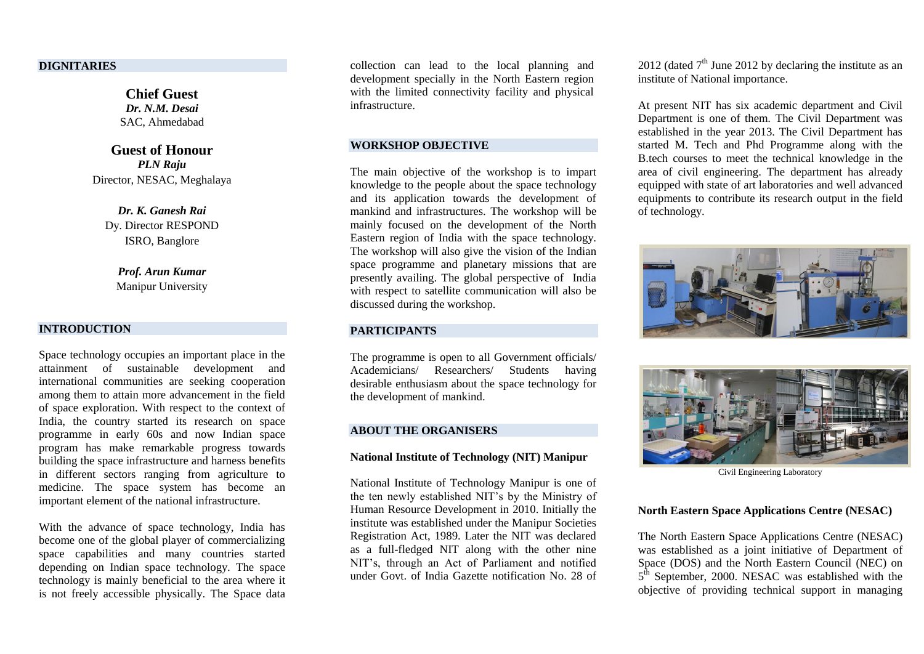#### **DIGNITARIES**

**Chief Guest** *Dr. N.M. Desai* SAC, Ahmedabad

**Guest of Honour** *PLN Raju* Director, NESAC, Meghalaya

*Dr. K. Ganesh Rai* Dy. Director RESPOND ISRO, Banglore

*Prof. Arun Kumar* Manipur University

#### **INTRODUCTION**

Space technology occupies an important place in the attainment of sustainable development and international communities are seeking cooperation among them to attain more advancement in the field of space exploration. With respect to the context of India, the country started its research on space programme in early 60s and now Indian space program has make remarkable progress towards building the space infrastructure and harness benefits in different sectors ranging from agriculture to medicine. The space system has become an important element of the national infrastructure.

With the advance of space technology, India has become one of the global player of commercializing space capabilities and many countries started depending on Indian space technology. The space technology is mainly beneficial to the area where it is not freely accessible physically. The Space data collection can lead to the local planning and development specially in the North Eastern region with the limited connectivity facility and physical infrastructure.

#### **WORKSHOP OBJECTIVE**

The main objective of the workshop is to impart knowledge to the people about the space technology and its application towards the development of mankind and infrastructures. The workshop will be mainly focused on the development of the North Eastern region of India with the space technology. The workshop will also give the vision of the Indian space programme and planetary missions that are presently availing. The global perspective of India with respect to satellite communication will also be discussed during the workshop.

#### **PARTICIPANTS**

The programme is open to all Government officials/ Academicians/ Researchers/ Students having desirable enthusiasm about the space technology for the development of mankind.

#### **ABOUT THE ORGANISERS**

#### **National Institute of Technology (NIT) Manipur**

National Institute of Technology Manipur is one of the ten newly established NIT's by the Ministry of Human Resource Development in 2010. Initially the institute was established under the Manipur Societies Registration Act, 1989. Later the NIT was declared as a full-fledged NIT along with the other nine NIT's, through an Act of Parliament and notified under Govt. of India Gazette notification No. 28 of

2012 (dated  $7<sup>th</sup>$  June 2012 by declaring the institute as an institute of National importance.

At present NIT has six academic department and Civil Department is one of them. The Civil Department was established in the year 2013. The Civil Department has started M. Tech and Phd Programme along with the B.tech courses to meet the technical knowledge in the area of civil engineering. The department has already equipped with state of art laboratories and well advanced equipments to contribute its research output in the field of technology.





Civil Engineering Laboratory

#### **North Eastern Space Applications Centre (NESAC)**

The North Eastern Space Applications Centre (NESAC) was established as a joint initiative of Department of Space (DOS) and the North Eastern Council (NEC) on 5<sup>th</sup> September, 2000. NESAC was established with the objective of providing technical support in managing